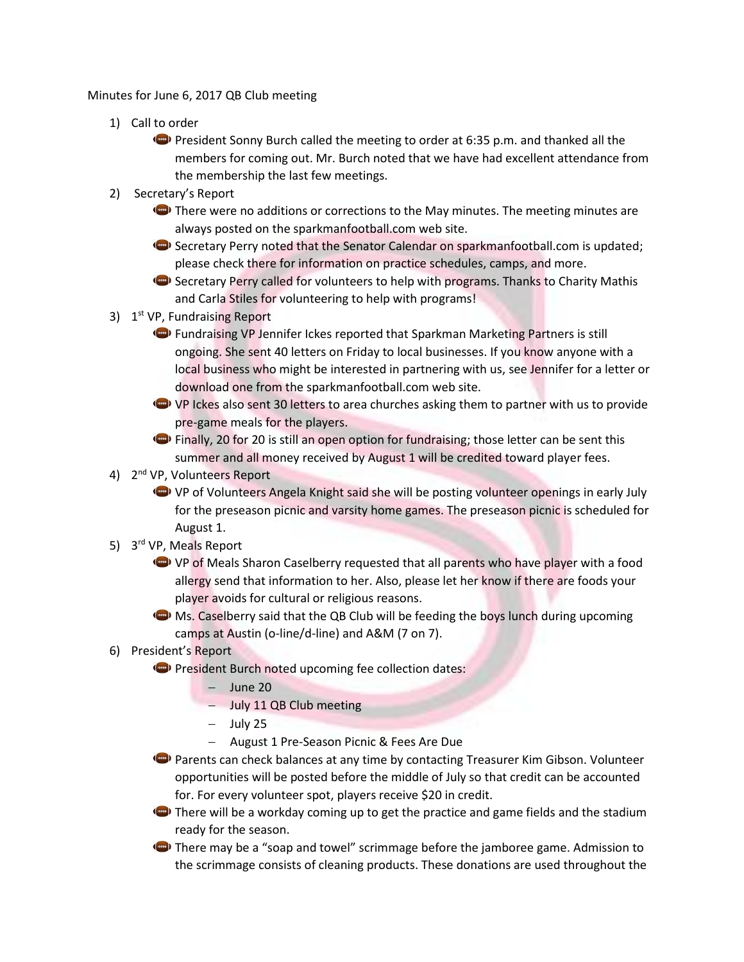Minutes for June 6, 2017 QB Club meeting

- 1) Call to order
	- **President Sonny Burch called the meeting to order at 6:35 p.m. and thanked all the** members for coming out. Mr. Burch noted that we have had excellent attendance from the membership the last few meetings.
- 2) Secretary's Report
	- **There were no additions or corrections to the May minutes. The meeting minutes are** always posted on the sparkmanfootball.com web site.
	- Secretary Perry noted that the Senator Calendar on sparkmanfootball.com is updated; please check there for information on practice schedules, camps, and more.
	- Secretary Perry called for volunteers to help with programs. Thanks to Charity Mathis and Carla Stiles for volunteering to help with programs!
- 3) 1<sup>st</sup> VP, Fundraising Report
	- **C** Fundraising VP Jennifer Ickes reported that Sparkman Marketing Partners is still ongoing. She sent 40 letters on Friday to local businesses. If you know anyone with a local business who might be interested in partnering with us, see Jennifer for a letter or download one from the sparkmanfootball.com web site.
	- VP Ickes also sent 30 letters to area churches asking them to partner with us to provide pre-game meals for the players.
	- Finally, 20 for 20 is still an open option for fundraising; those letter can be sent this summer and all money received by August 1 will be credited toward player fees.
- 4) 2<sup>nd</sup> VP, Volunteers Report
	- VP of Volunteers Angela Knight said she will be posting volunteer openings in early July for the preseason picnic and varsity home games. The preseason picnic is scheduled for August 1.
- 5) 3<sup>rd</sup> VP, Meals Report
	- VP of Meals Sharon Caselberry requested that all parents who have player with a food allergy send that information to her. Also, please let her know if there are foods your player avoids for cultural or religious reasons.
	- $\bigodot$  Ms. Caselberry said that the QB Club will be feeding the boys lunch during upcoming camps at Austin (o-line/d-line) and A&M (7 on 7).
- 6) President's Report
	- **President Burch noted upcoming fee collection dates:** 
		- $-$  June 20
		- July 11 QB Club meeting
		- $-$  July 25
		- August 1 Pre-Season Picnic & Fees Are Due
	- **P** Parents can check balances at any time by contacting Treasurer Kim Gibson. Volunteer opportunities will be posted before the middle of July so that credit can be accounted for. For every volunteer spot, players receive \$20 in credit.
	- $\bullet$  There will be a workday coming up to get the practice and game fields and the stadium ready for the season.
	- There may be a "soap and towel" scrimmage before the jamboree game. Admission to the scrimmage consists of cleaning products. These donations are used throughout the